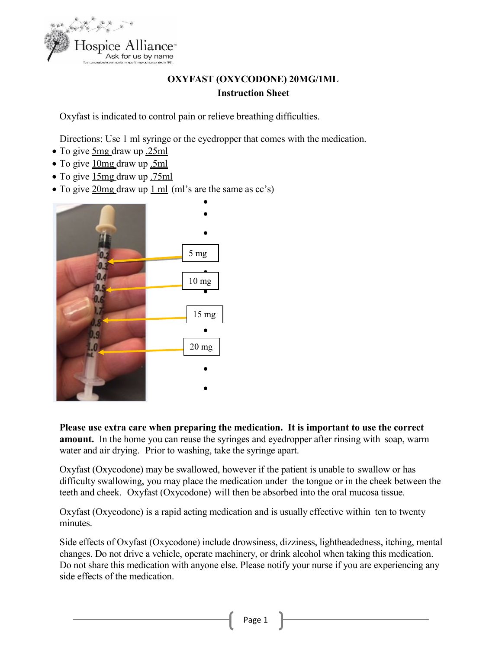

## **OXYFAST (OXYCODONE) 20MG/1ML Instruction Sheet**

Oxyfast is indicated to control pain or relieve breathing difficulties.

Directions: Use 1 ml syringe or the eyedropper that comes with the medication.

- To give 5mg draw up .25ml
- To give 10mg draw up .5ml
- To give 15mg draw up .75ml
- To give  $20mg$  draw up  $1 ml$  (ml's are the same as  $cc's$ )



**Please use extra care when preparing the medication. It is important to use the correct amount.** In the home you can reuse the syringes and eyedropper after rinsing with soap, warm water and air drying. Prior to washing, take the syringe apart.

Oxyfast (Oxycodone) may be swallowed, however if the patient is unable to swallow or has difficulty swallowing, you may place the medication under the tongue or in the cheek between the teeth and cheek. Oxyfast (Oxycodone) will then be absorbed into the oral mucosa tissue.

Oxyfast (Oxycodone) is a rapid acting medication and is usually effective within ten to twenty minutes.

Side effects of Oxyfast (Oxycodone) include drowsiness, dizziness, lightheadedness, itching, mental changes. Do not drive a vehicle, operate machinery, or drink alcohol when taking this medication. Do not share this medication with anyone else. Please notify your nurse if you are experiencing any side effects of the medication.